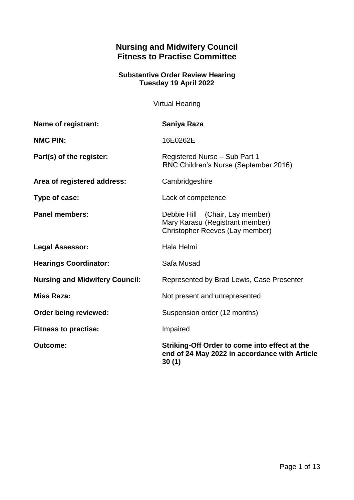# **Nursing and Midwifery Council Fitness to Practise Committee**

## **Substantive Order Review Hearing Tuesday 19 April 2022**

Virtual Hearing

| <b>Name of registrant:</b>            | Saniya Raza                                                                                             |
|---------------------------------------|---------------------------------------------------------------------------------------------------------|
| <b>NMC PIN:</b>                       | 16E0262E                                                                                                |
| Part(s) of the register:              | Registered Nurse - Sub Part 1<br>RNC Children's Nurse (September 2016)                                  |
| Area of registered address:           | Cambridgeshire                                                                                          |
| Type of case:                         | Lack of competence                                                                                      |
| <b>Panel members:</b>                 | Debbie Hill (Chair, Lay member)<br>Mary Karasu (Registrant member)<br>Christopher Reeves (Lay member)   |
| <b>Legal Assessor:</b>                | Hala Helmi                                                                                              |
| <b>Hearings Coordinator:</b>          | Safa Musad                                                                                              |
| <b>Nursing and Midwifery Council:</b> | Represented by Brad Lewis, Case Presenter                                                               |
| <b>Miss Raza:</b>                     | Not present and unrepresented                                                                           |
| Order being reviewed:                 | Suspension order (12 months)                                                                            |
| <b>Fitness to practise:</b>           | Impaired                                                                                                |
| <b>Outcome:</b>                       | Striking-Off Order to come into effect at the<br>end of 24 May 2022 in accordance with Article<br>30(1) |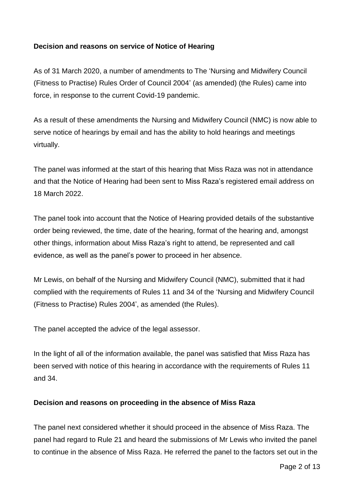## **Decision and reasons on service of Notice of Hearing**

As of 31 March 2020, a number of amendments to The 'Nursing and Midwifery Council (Fitness to Practise) Rules Order of Council 2004' (as amended) (the Rules) came into force, in response to the current Covid-19 pandemic.

As a result of these amendments the Nursing and Midwifery Council (NMC) is now able to serve notice of hearings by email and has the ability to hold hearings and meetings virtually.

The panel was informed at the start of this hearing that Miss Raza was not in attendance and that the Notice of Hearing had been sent to Miss Raza's registered email address on 18 March 2022.

The panel took into account that the Notice of Hearing provided details of the substantive order being reviewed, the time, date of the hearing, format of the hearing and, amongst other things, information about Miss Raza's right to attend, be represented and call evidence, as well as the panel's power to proceed in her absence.

Mr Lewis, on behalf of the Nursing and Midwifery Council (NMC), submitted that it had complied with the requirements of Rules 11 and 34 of the 'Nursing and Midwifery Council (Fitness to Practise) Rules 2004', as amended (the Rules).

The panel accepted the advice of the legal assessor.

In the light of all of the information available, the panel was satisfied that Miss Raza has been served with notice of this hearing in accordance with the requirements of Rules 11 and 34.

#### **Decision and reasons on proceeding in the absence of Miss Raza**

The panel next considered whether it should proceed in the absence of Miss Raza. The panel had regard to Rule 21 and heard the submissions of Mr Lewis who invited the panel to continue in the absence of Miss Raza. He referred the panel to the factors set out in the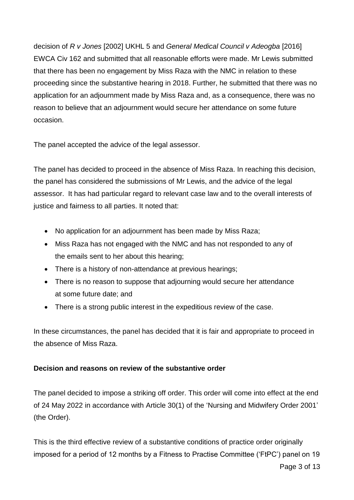decision of *R v Jones* [2002] UKHL 5 and *General Medical Council v Adeogba* [2016] EWCA Civ 162 and submitted that all reasonable efforts were made. Mr Lewis submitted that there has been no engagement by Miss Raza with the NMC in relation to these proceeding since the substantive hearing in 2018. Further, he submitted that there was no application for an adjournment made by Miss Raza and, as a consequence, there was no reason to believe that an adjournment would secure her attendance on some future occasion.

The panel accepted the advice of the legal assessor.

The panel has decided to proceed in the absence of Miss Raza. In reaching this decision, the panel has considered the submissions of Mr Lewis, and the advice of the legal assessor. It has had particular regard to relevant case law and to the overall interests of justice and fairness to all parties. It noted that:

- No application for an adjournment has been made by Miss Raza;
- Miss Raza has not engaged with the NMC and has not responded to any of the emails sent to her about this hearing;
- There is a history of non-attendance at previous hearings;
- There is no reason to suppose that adjourning would secure her attendance at some future date; and
- There is a strong public interest in the expeditious review of the case.

In these circumstances, the panel has decided that it is fair and appropriate to proceed in the absence of Miss Raza.

## **Decision and reasons on review of the substantive order**

The panel decided to impose a striking off order. This order will come into effect at the end of 24 May 2022 in accordance with Article 30(1) of the 'Nursing and Midwifery Order 2001' (the Order).

This is the third effective review of a substantive conditions of practice order originally imposed for a period of 12 months by a Fitness to Practise Committee ('FtPC') panel on 19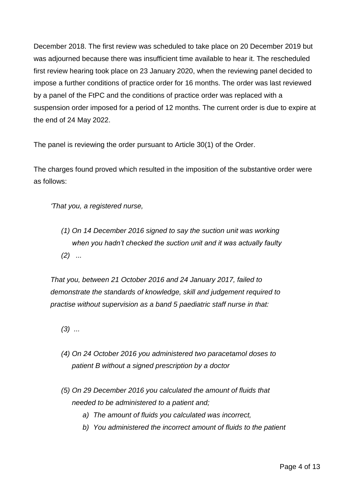December 2018. The first review was scheduled to take place on 20 December 2019 but was adjourned because there was insufficient time available to hear it. The rescheduled first review hearing took place on 23 January 2020, when the reviewing panel decided to impose a further conditions of practice order for 16 months. The order was last reviewed by a panel of the FtPC and the conditions of practice order was replaced with a suspension order imposed for a period of 12 months. The current order is due to expire at the end of 24 May 2022.

The panel is reviewing the order pursuant to Article 30(1) of the Order.

The charges found proved which resulted in the imposition of the substantive order were as follows:

*'That you, a registered nurse,*

*(1) On 14 December 2016 signed to say the suction unit was working when you hadn't checked the suction unit and it was actually faulty (2) ...* 

*That you, between 21 October 2016 and 24 January 2017, failed to demonstrate the standards of knowledge, skill and judgement required to practise without supervision as a band 5 paediatric staff nurse in that:*

- *(3) ...*
- *(4) On 24 October 2016 you administered two paracetamol doses to patient B without a signed prescription by a doctor*
- *(5) On 29 December 2016 you calculated the amount of fluids that needed to be administered to a patient and;* 
	- *a) The amount of fluids you calculated was incorrect,*
	- *b) You administered the incorrect amount of fluids to the patient*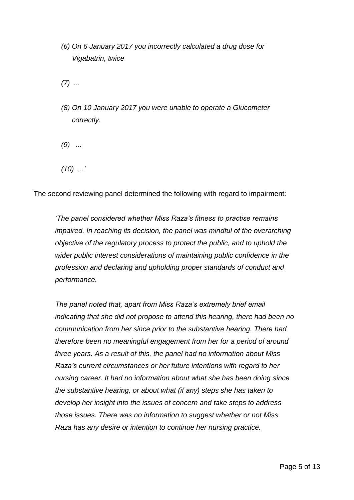*(6) On 6 January 2017 you incorrectly calculated a drug dose for Vigabatrin, twice* 

*(7) ...* 

*(8) On 10 January 2017 you were unable to operate a Glucometer correctly.* 

*(9) ...*

*(10) …'* 

The second reviewing panel determined the following with regard to impairment:

*'The panel considered whether Miss Raza's fitness to practise remains impaired. In reaching its decision, the panel was mindful of the overarching objective of the regulatory process to protect the public, and to uphold the wider public interest considerations of maintaining public confidence in the profession and declaring and upholding proper standards of conduct and performance.*

*The panel noted that, apart from Miss Raza's extremely brief email indicating that she did not propose to attend this hearing, there had been no communication from her since prior to the substantive hearing. There had therefore been no meaningful engagement from her for a period of around three years. As a result of this, the panel had no information about Miss Raza's current circumstances or her future intentions with regard to her nursing career. It had no information about what she has been doing since the substantive hearing, or about what (if any) steps she has taken to develop her insight into the issues of concern and take steps to address those issues. There was no information to suggest whether or not Miss Raza has any desire or intention to continue her nursing practice.*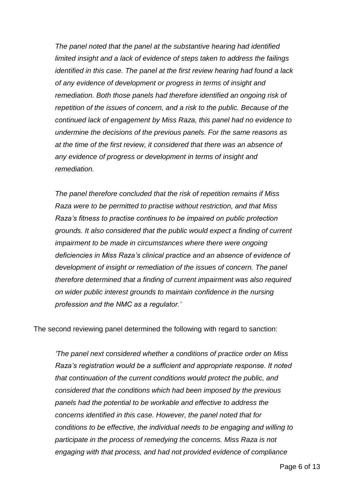*The panel noted that the panel at the substantive hearing had identified limited insight and a lack of evidence of steps taken to address the failings identified in this case. The panel at the first review hearing had found a lack of any evidence of development or progress in terms of insight and remediation. Both those panels had therefore identified an ongoing risk of repetition of the issues of concern, and a risk to the public. Because of the continued lack of engagement by Miss Raza, this panel had no evidence to undermine the decisions of the previous panels. For the same reasons as at the time of the first review, it considered that there was an absence of any evidence of progress or development in terms of insight and remediation.* 

*The panel therefore concluded that the risk of repetition remains if Miss Raza were to be permitted to practise without restriction, and that Miss Raza's fitness to practise continues to be impaired on public protection grounds. It also considered that the public would expect a finding of current impairment to be made in circumstances where there were ongoing deficiencies in Miss Raza's clinical practice and an absence of evidence of development of insight or remediation of the issues of concern. The panel therefore determined that a finding of current impairment was also required on wider public interest grounds to maintain confidence in the nursing profession and the NMC as a regulator.'* 

The second reviewing panel determined the following with regard to sanction:

*'The panel next considered whether a conditions of practice order on Miss Raza's registration would be a sufficient and appropriate response. It noted that continuation of the current conditions would protect the public, and considered that the conditions which had been imposed by the previous panels had the potential to be workable and effective to address the concerns identified in this case. However, the panel noted that for conditions to be effective, the individual needs to be engaging and willing to participate in the process of remedying the concerns. Miss Raza is not engaging with that process, and had not provided evidence of compliance*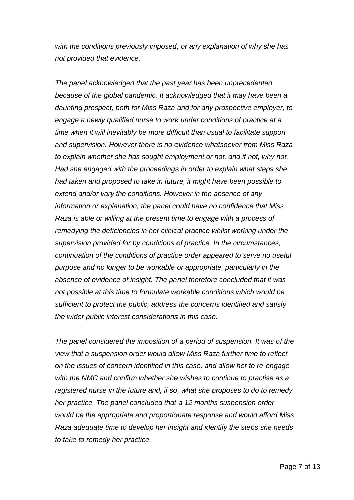*with the conditions previously imposed, or any explanation of why she has not provided that evidence.*

*The panel acknowledged that the past year has been unprecedented because of the global pandemic. It acknowledged that it may have been a daunting prospect, both for Miss Raza and for any prospective employer, to engage a newly qualified nurse to work under conditions of practice at a time when it will inevitably be more difficult than usual to facilitate support and supervision. However there is no evidence whatsoever from Miss Raza to explain whether she has sought employment or not, and if not, why not. Had she engaged with the proceedings in order to explain what steps she had taken and proposed to take in future, it might have been possible to extend and/or vary the conditions. However in the absence of any information or explanation, the panel could have no confidence that Miss Raza is able or willing at the present time to engage with a process of remedying the deficiencies in her clinical practice whilst working under the supervision provided for by conditions of practice. In the circumstances, continuation of the conditions of practice order appeared to serve no useful purpose and no longer to be workable or appropriate, particularly in the absence of evidence of insight. The panel therefore concluded that it was not possible at this time to formulate workable conditions which would be sufficient to protect the public, address the concerns identified and satisfy the wider public interest considerations in this case.*

*The panel considered the imposition of a period of suspension. It was of the view that a suspension order would allow Miss Raza further time to reflect on the issues of concern identified in this case, and allow her to re-engage with the NMC and confirm whether she wishes to continue to practise as a registered nurse in the future and, if so, what she proposes to do to remedy her practice. The panel concluded that a 12 months suspension order would be the appropriate and proportionate response and would afford Miss Raza adequate time to develop her insight and identify the steps she needs to take to remedy her practice.*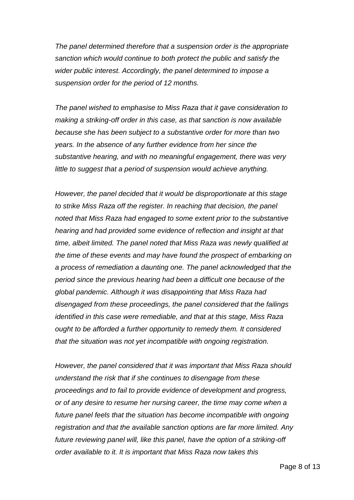*The panel determined therefore that a suspension order is the appropriate sanction which would continue to both protect the public and satisfy the wider public interest. Accordingly, the panel determined to impose a suspension order for the period of 12 months.*

*The panel wished to emphasise to Miss Raza that it gave consideration to making a striking-off order in this case, as that sanction is now available because she has been subject to a substantive order for more than two years. In the absence of any further evidence from her since the substantive hearing, and with no meaningful engagement, there was very little to suggest that a period of suspension would achieve anything.*

*However, the panel decided that it would be disproportionate at this stage to strike Miss Raza off the register. In reaching that decision, the panel noted that Miss Raza had engaged to some extent prior to the substantive hearing and had provided some evidence of reflection and insight at that time, albeit limited. The panel noted that Miss Raza was newly qualified at the time of these events and may have found the prospect of embarking on a process of remediation a daunting one. The panel acknowledged that the period since the previous hearing had been a difficult one because of the global pandemic. Although it was disappointing that Miss Raza had disengaged from these proceedings, the panel considered that the failings identified in this case were remediable, and that at this stage, Miss Raza ought to be afforded a further opportunity to remedy them. It considered that the situation was not yet incompatible with ongoing registration.*

*However, the panel considered that it was important that Miss Raza should understand the risk that if she continues to disengage from these proceedings and to fail to provide evidence of development and progress, or of any desire to resume her nursing career, the time may come when a future panel feels that the situation has become incompatible with ongoing registration and that the available sanction options are far more limited. Any*  future reviewing panel will, like this panel, have the option of a striking-off *order available to it. It is important that Miss Raza now takes this*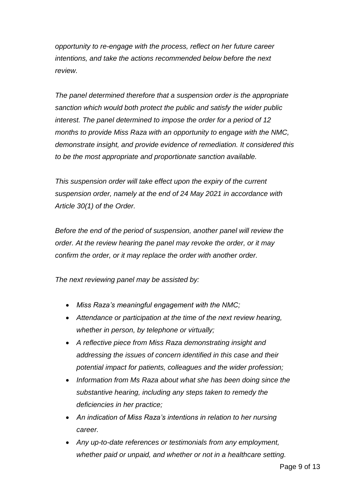*opportunity to re-engage with the process, reflect on her future career intentions, and take the actions recommended below before the next review.*

*The panel determined therefore that a suspension order is the appropriate sanction which would both protect the public and satisfy the wider public interest. The panel determined to impose the order for a period of 12 months to provide Miss Raza with an opportunity to engage with the NMC, demonstrate insight, and provide evidence of remediation. It considered this to be the most appropriate and proportionate sanction available.*

*This suspension order will take effect upon the expiry of the current suspension order, namely at the end of 24 May 2021 in accordance with Article 30(1) of the Order.* 

*Before the end of the period of suspension, another panel will review the order. At the review hearing the panel may revoke the order, or it may confirm the order, or it may replace the order with another order.* 

*The next reviewing panel may be assisted by:*

- *Miss Raza's meaningful engagement with the NMC;*
- *Attendance or participation at the time of the next review hearing, whether in person, by telephone or virtually;*
- *A reflective piece from Miss Raza demonstrating insight and addressing the issues of concern identified in this case and their potential impact for patients, colleagues and the wider profession;*
- *Information from Ms Raza about what she has been doing since the substantive hearing, including any steps taken to remedy the deficiencies in her practice;*
- *An indication of Miss Raza's intentions in relation to her nursing career.*
- *Any up-to-date references or testimonials from any employment, whether paid or unpaid, and whether or not in a healthcare setting.*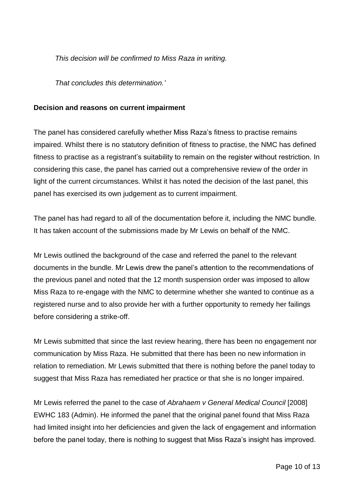*This decision will be confirmed to Miss Raza in writing.*

*That concludes this determination.'*

#### **Decision and reasons on current impairment**

The panel has considered carefully whether Miss Raza's fitness to practise remains impaired. Whilst there is no statutory definition of fitness to practise, the NMC has defined fitness to practise as a registrant's suitability to remain on the register without restriction. In considering this case, the panel has carried out a comprehensive review of the order in light of the current circumstances. Whilst it has noted the decision of the last panel, this panel has exercised its own judgement as to current impairment.

The panel has had regard to all of the documentation before it, including the NMC bundle. It has taken account of the submissions made by Mr Lewis on behalf of the NMC.

Mr Lewis outlined the background of the case and referred the panel to the relevant documents in the bundle. Mr Lewis drew the panel's attention to the recommendations of the previous panel and noted that the 12 month suspension order was imposed to allow Miss Raza to re-engage with the NMC to determine whether she wanted to continue as a registered nurse and to also provide her with a further opportunity to remedy her failings before considering a strike-off.

Mr Lewis submitted that since the last review hearing, there has been no engagement nor communication by Miss Raza. He submitted that there has been no new information in relation to remediation. Mr Lewis submitted that there is nothing before the panel today to suggest that Miss Raza has remediated her practice or that she is no longer impaired.

Mr Lewis referred the panel to the case of *Abrahaem v General Medical Council* [2008] EWHC 183 (Admin). He informed the panel that the original panel found that Miss Raza had limited insight into her deficiencies and given the lack of engagement and information before the panel today, there is nothing to suggest that Miss Raza's insight has improved.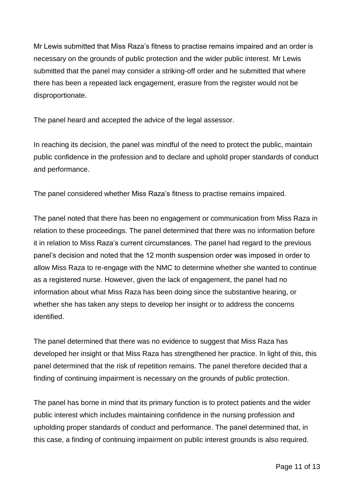Mr Lewis submitted that Miss Raza's fitness to practise remains impaired and an order is necessary on the grounds of public protection and the wider public interest. Mr Lewis submitted that the panel may consider a striking-off order and he submitted that where there has been a repeated lack engagement, erasure from the register would not be disproportionate.

The panel heard and accepted the advice of the legal assessor.

In reaching its decision, the panel was mindful of the need to protect the public, maintain public confidence in the profession and to declare and uphold proper standards of conduct and performance.

The panel considered whether Miss Raza's fitness to practise remains impaired.

The panel noted that there has been no engagement or communication from Miss Raza in relation to these proceedings. The panel determined that there was no information before it in relation to Miss Raza's current circumstances. The panel had regard to the previous panel's decision and noted that the 12 month suspension order was imposed in order to allow Miss Raza to re-engage with the NMC to determine whether she wanted to continue as a registered nurse. However, given the lack of engagement, the panel had no information about what Miss Raza has been doing since the substantive hearing, or whether she has taken any steps to develop her insight or to address the concerns identified.

The panel determined that there was no evidence to suggest that Miss Raza has developed her insight or that Miss Raza has strengthened her practice. In light of this, this panel determined that the risk of repetition remains. The panel therefore decided that a finding of continuing impairment is necessary on the grounds of public protection.

The panel has borne in mind that its primary function is to protect patients and the wider public interest which includes maintaining confidence in the nursing profession and upholding proper standards of conduct and performance. The panel determined that, in this case, a finding of continuing impairment on public interest grounds is also required.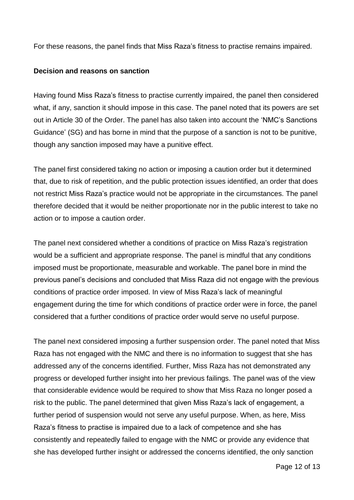For these reasons, the panel finds that Miss Raza's fitness to practise remains impaired.

#### **Decision and reasons on sanction**

Having found Miss Raza's fitness to practise currently impaired, the panel then considered what, if any, sanction it should impose in this case. The panel noted that its powers are set out in Article 30 of the Order. The panel has also taken into account the 'NMC's Sanctions Guidance' (SG) and has borne in mind that the purpose of a sanction is not to be punitive, though any sanction imposed may have a punitive effect.

The panel first considered taking no action or imposing a caution order but it determined that, due to risk of repetition, and the public protection issues identified, an order that does not restrict Miss Raza's practice would not be appropriate in the circumstances. The panel therefore decided that it would be neither proportionate nor in the public interest to take no action or to impose a caution order.

The panel next considered whether a conditions of practice on Miss Raza's registration would be a sufficient and appropriate response. The panel is mindful that any conditions imposed must be proportionate, measurable and workable. The panel bore in mind the previous panel's decisions and concluded that Miss Raza did not engage with the previous conditions of practice order imposed. In view of Miss Raza's lack of meaningful engagement during the time for which conditions of practice order were in force, the panel considered that a further conditions of practice order would serve no useful purpose.

The panel next considered imposing a further suspension order. The panel noted that Miss Raza has not engaged with the NMC and there is no information to suggest that she has addressed any of the concerns identified. Further, Miss Raza has not demonstrated any progress or developed further insight into her previous failings. The panel was of the view that considerable evidence would be required to show that Miss Raza no longer posed a risk to the public. The panel determined that given Miss Raza's lack of engagement, a further period of suspension would not serve any useful purpose. When, as here, Miss Raza's fitness to practise is impaired due to a lack of competence and she has consistently and repeatedly failed to engage with the NMC or provide any evidence that she has developed further insight or addressed the concerns identified, the only sanction